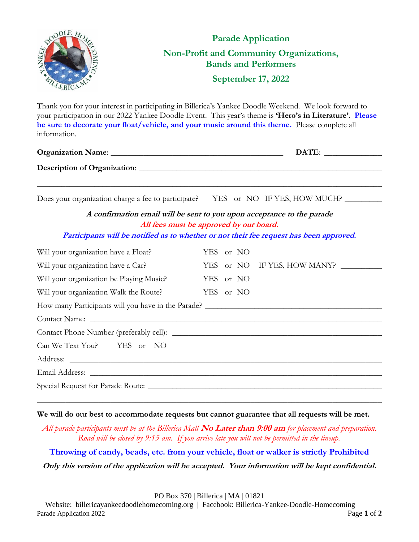

| <u>Turnes must be approved by our board.</u><br>Participants will be notified as to whether or not their fee request has been approved. |                             |
|-----------------------------------------------------------------------------------------------------------------------------------------|-----------------------------|
| Will your organization have a Float?                                                                                                    | YES or NO                   |
| Will your organization have a Car?                                                                                                      | YES or NO IF YES, HOW MANY? |
| Will your organization be Playing Music?                                                                                                | YES or NO                   |
| Will your organization Walk the Route?                                                                                                  | YES or NO                   |
| How many Participants will you have in the Parade?                                                                                      |                             |
|                                                                                                                                         |                             |
|                                                                                                                                         |                             |
| Can We Text You? YES or NO                                                                                                              |                             |
|                                                                                                                                         |                             |
|                                                                                                                                         |                             |
|                                                                                                                                         |                             |

## **We will do our best to accommodate requests but cannot guarantee that all requests will be met.**

*All parade participants must be at the Billerica Mall* **No Later than 9:00 am** *for placement and preparation. Road will be closed by 9:15 am. If you arrive late you will not be permitted in the lineup.*

\_\_\_\_\_\_\_\_\_\_\_\_\_\_\_\_\_\_\_\_\_\_\_\_\_\_\_\_\_\_\_\_\_\_\_\_\_\_\_\_\_\_\_\_\_\_\_\_\_\_\_\_\_\_\_\_\_\_\_\_\_\_\_\_\_\_\_\_\_\_\_\_\_\_\_\_\_\_\_\_\_\_\_\_

## **Throwing of candy, beads, etc. from your vehicle, float or walker is strictly Prohibited**

**Only this version of the application will be accepted. Your information will be kept confidential.**

PO Box 370 | Billerica | MA | 01821

Website: billericayankeedoodlehomecoming.org | Facebook: Billerica-Yankee-Doodle-Homecoming Parade Application 2022 **Page 1** of 2